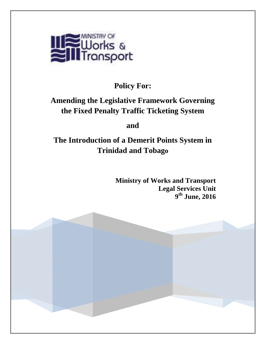

# **Policy For:**

# **Amending the Legislative Framework Governing the Fixed Penalty Traffic Ticketing System**

# **and**

# **The Introduction of a Demerit Points System in Trinidad and Tobago**

**Ministry of Works and Transport Legal Services Unit 9 th June, 2016**

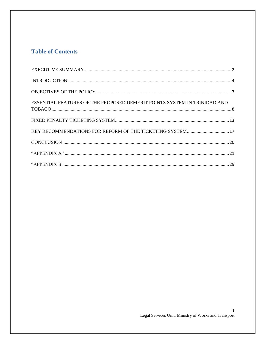### **Table of Contents**

| ESSENTIAL FEATURES OF THE PROPOSED DEMERIT POINTS SYSTEM IN TRINIDAD AND |
|--------------------------------------------------------------------------|
|                                                                          |
| KEY RECOMMENDATIONS FOR REFORM OF THE TICKETING SYSTEM 17                |
|                                                                          |
|                                                                          |
|                                                                          |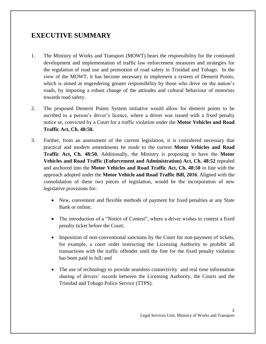# <span id="page-2-0"></span>**EXECUTIVE SUMMARY**

- 1. The Ministry of Works and Transport (MOWT) bears the responsibility for the continued development and implementation of traffic law enforcement measures and strategies for the regulation of road use and promotion of road safety in Trinidad and Tobago. In the view of the MOWT, it has become necessary to implement a system of Demerit Points, which is aimed at engendering greater responsibility by those who drive on the nation's roads, by imposing a robust change of the attitudes and cultural behaviour of motorists towards road safety.
- 2. The proposed Demerit Points System initiative would allow for demerit points to be ascribed to a person's driver's licence, where a driver was issued with a fixed penalty notice or, convicted by a Court for a traffic violation under the **Motor Vehicles and Road Traffic Act, Ch. 48:50.**
- 3. Further, from an assessment of the current legislation, it is considered necessary that practical and modern amendments be made to the current **Motor Vehicles and Road Traffic Act, Ch. 48:50.** Additionally, the Ministry is proposing to have the **Motor Vehicles and Road Traffic (Enforcement and Administration) Act, Ch. 48:52** repealed and anchored into the **Motor Vehicles and Road Traffic Act, Ch. 48:50** in line with the approach adopted under the **Motor Vehicle and Road Traffic Bill, 2016**. Aligned with the consolidation of these two pieces of legislation, would be the incorporation of new legislative provisions for:
	- New, convenient and flexible methods of payment for fixed penalties at any State Bank or online;
	- The introduction of a "Notice of Contest", where a driver wishes to contest a fixed penalty ticket before the Court;
	- Imposition of non-conventional sanctions by the Court for non-payment of tickets, for example, a court order instructing the Licensing Authority to prohibit all transactions with the traffic offender until the fine for the fixed penalty violation has been paid in full; and
	- The use of technology to provide seamless connectivity and real time information sharing of drivers' records between the Licensing Authority, the Courts and the Trinidad and Tobago Police Service (TTPS).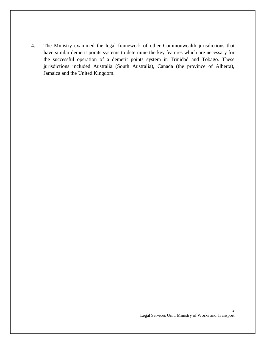4. The Ministry examined the legal framework of other Commonwealth jurisdictions that have similar demerit points systems to determine the key features which are necessary for the successful operation of a demerit points system in Trinidad and Tobago. These jurisdictions included Australia (South Australia), Canada (the province of Alberta), Jamaica and the United Kingdom.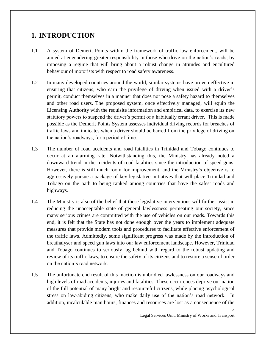## <span id="page-4-0"></span>**1. INTRODUCTION**

- 1.1 A system of Demerit Points within the framework of traffic law enforcement, will be aimed at engendering greater responsibility in those who drive on the nation's roads, by imposing a regime that will bring about a robust change in attitudes and encultured behaviour of motorists with respect to road safety awareness.
- 1.2 In many developed countries around the world, similar systems have proven effective in ensuring that citizens, who earn the privilege of driving when issued with a driver's permit, conduct themselves in a manner that does not pose a safety hazard to themselves and other road users. The proposed system, once effectively managed, will equip the Licensing Authority with the requisite information and empirical data, to exercise its new statutory powers to suspend the driver's permit of a habitually errant driver. This is made possible as the Demerit Points System assesses individual driving records for breaches of traffic laws and indicates when a driver should be barred from the privilege of driving on the nation's roadways, for a period of time.
- 1.3 The number of road accidents and road fatalities in Trinidad and Tobago continues to occur at an alarming rate. Notwithstanding this, the Ministry has already noted a downward trend in the incidents of road fatalities since the introduction of speed guns. However, there is still much room for improvement, and the Ministry's objective is to aggressively pursue a package of key legislative initiatives that will place Trinidad and Tobago on the path to being ranked among countries that have the safest roads and highways.
- 1.4 The Ministry is also of the belief that these legislative interventions will further assist in reducing the unacceptable state of general lawlessness permeating our society, since many serious crimes are committed with the use of vehicles on our roads. Towards this end, it is felt that the State has not done enough over the years to implement adequate measures that provide modern tools and procedures to facilitate effective enforcement of the traffic laws. Admittedly, some significant progress was made by the introduction of breathalyser and speed gun laws into our law enforcement landscape. However, Trinidad and Tobago continues to seriously lag behind with regard to the robust updating and review of its traffic laws, to ensure the safety of its citizens and to restore a sense of order on the nation's road network.
- 1.5 The unfortunate end result of this inaction is unbridled lawlessness on our roadways and high levels of road accidents, injuries and fatalities. These occurrences deprive our nation of the full potential of many bright and resourceful citizens, while placing psychological stress on law-abiding citizens, who make daily use of the nation's road network. In addition, incalculable man hours, finances and resources are lost as a consequence of the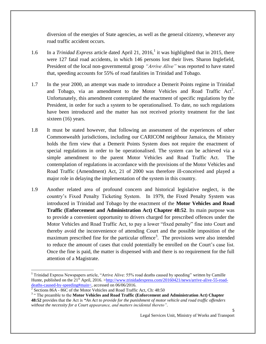diversion of the energies of State agencies, as well as the general citizenry, whenever any road traffic accident occurs.

- 1.6 In a *Trinidad Express* article dated April 21, 2016,<sup>1</sup> it was highlighted that in 2015, there were 127 fatal road accidents, in which 146 persons lost their lives. Sharon Inglefield, President of the local non-governmental group *"Arrive Alive"* was reported to have stated that, speeding accounts for 55% of road fatalities in Trinidad and Tobago.
- 1.7 In the year 2000, an attempt was made to introduce a Demerit Points regime in Trinidad and Tobago, via an amendment to the Motor Vehicles and Road Traffic  $Act^2$ . Unfortunately, this amendment contemplated the enactment of specific regulations by the President, in order for such a system to be operationalised. To date, no such regulations have been introduced and the matter has not received priority treatment for the last sixteen (16) years.
- 1.8 It must be stated however, that following an assessment of the experiences of other Commonwealth jurisdictions, including our CARICOM neighbour Jamaica, the Ministry holds the firm view that a Demerit Points System does not require the enactment of special regulations in order to be operationalised. The system can be achieved via a simple amendment to the parent Motor Vehicles and Road Traffic Act. The contemplation of regulations in accordance with the provisions of the Motor Vehicles and Road Traffic (Amendment) Act, 21 of 2000 was therefore ill-conceived and played a major role in delaying the implementation of the system in this country.
- 1.9 Another related area of profound concern and historical legislative neglect, is the country's Fixed Penalty Ticketing System. In 1979, the Fixed Penalty System was introduced in Trinidad and Tobago by the enactment of the **Motor Vehicles and Road Traffic (Enforcement and Administration Act) Chapter 48:52**. Its main purpose was to provide a convenient opportunity to drivers charged for prescribed offences under the Motor Vehicles and Road Traffic Act, to pay a lower "fixed penalty" fine into Court and thereby avoid the inconvenience of attending Court and the possible imposition of the maximum prescribed fine for the particular offence<sup>3</sup>. The provisions were also intended to reduce the amount of cases that could potentially be enrolled on the Court's case list. Once the fine is paid, the matter is dispensed with and there is no requirement for the full attention of a Magistrate.

 $\overline{\phantom{a}}$ 

<sup>&</sup>lt;sup>1</sup> Trinidad Express Newspapers article, "Arrive Alive: 55% road deaths caused by speeding" written by Camille Hunte, published on the 21<sup>st</sup> April, 2016. [>http://www.trinidadexpress.com/20160421/news/arrive-alive-55-road](http://www.trinidadexpress.com/20160421/news/arrive-alive-55-road-deaths-caused-by-speeding#main<)[deaths-caused-by-speeding#main<,](http://www.trinidadexpress.com/20160421/news/arrive-alive-55-road-deaths-caused-by-speeding#main<) accessed on 06/06/2016.

<sup>&</sup>lt;sup>2</sup> Sections 86A - 86C of the Motor Vehicles and Road Traffic Act, Ch: 48:50

<sup>&</sup>lt;sup>3</sup> "The preamble to the **Motor Vehicles and Road Traffic (Enforcement and Administration Act) Chapter 48:52** provides that the Act is *"An Act to provide for the punishment of motor vehicle and road traffic offenders without the necessity for a Court appearance, and matters incidental thereto"*.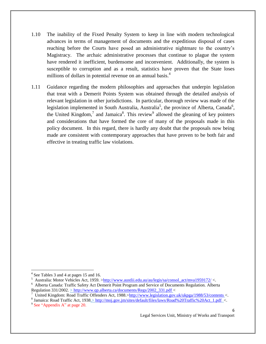- 1.10 The inability of the Fixed Penalty System to keep in line with modern technological advances in terms of management of documents and the expeditious disposal of cases reaching before the Courts have posed an administrative nightmare to the country's Magistracy. The archaic administrative processes that continue to plague the system have rendered it inefficient, burdensome and inconvenient. Additionally, the system is susceptible to corruption and as a result, statistics have proven that the State loses millions of dollars in potential revenue on an annual basis.<sup>4</sup>
- 1.11 Guidance regarding the modern philosophies and approaches that underpin legislation that treat with a Demerit Points System was obtained through the detailed analysis of relevant legislation in other jurisdictions. In particular, thorough review was made of the legislation implemented in South Australia, Australia<sup>5</sup>, the province of Alberta, Canada<sup>6</sup>, the United Kingdom,<sup>7</sup> and Jamaica<sup>8</sup>. This review<sup>9</sup> allowed the gleaning of key pointers and considerations that have formed the core of many of the proposals made in this policy document. In this regard, there is hardly any doubt that the proposals now being made are consistent with contemporary approaches that have proven to be both fair and effective in treating traffic law violations.

 $\overline{\phantom{a}}$ 

<sup>4</sup> See Tables 3 and 4 at pages 15 and 16.

<sup>5</sup> Australia: Motor Vehicles Act, 1959. [>http://www.austlii.edu.au/au/legis/sa/consol\\_act/mva1959172/](http://www.austlii.edu.au/au/legis/sa/consol_act/mva1959172/) <.

<sup>&</sup>lt;sup>6</sup> Alberta Canada: Traffic Safety Act Demerit Point Program and Service of Documents Regulation. Alberta Regulation 331/2002. > http://www.qp.alberta.ca/documents/Regs/2002 331.pdf <

<sup>7</sup> United Kingdom: Road Traffic Offenders Act, 1988.[>http://www.legislation.gov.uk/ukpga/1988/53/contents](http://www.legislation.gov.uk/ukpga/1988/53/contents) <.

<sup>&</sup>lt;sup>8</sup> Jamaica: Road Traffic Act, 1938.> [http://moj.gov.jm/sites/default/files/laws/Road%20Traffic%20Act\\_1.pdf](http://moj.gov.jm/sites/default/files/laws/Road%20Traffic%20Act_1.pdf) <.

<sup>&</sup>lt;sup>9</sup> See "Appendix A" at page 20.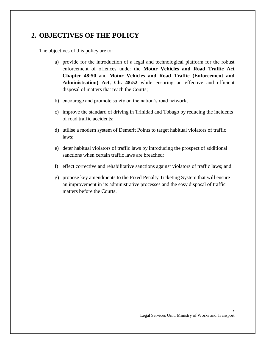# <span id="page-7-0"></span>**2. OBJECTIVES OF THE POLICY**

The objectives of this policy are to:-

- a) provide for the introduction of a legal and technological platform for the robust enforcement of offences under the **Motor Vehicles and Road Traffic Act Chapter 48:50** and **Motor Vehicles and Road Traffic (Enforcement and Administration) Act, Ch. 48:52** while ensuring an effective and efficient disposal of matters that reach the Courts;
- b) encourage and promote safety on the nation's road network;
- c) improve the standard of driving in Trinidad and Tobago by reducing the incidents of road traffic accidents;
- d) utilise a modern system of Demerit Points to target habitual violators of traffic laws;
- e) deter habitual violators of traffic laws by introducing the prospect of additional sanctions when certain traffic laws are breached;
- f) effect corrective and rehabilitative sanctions against violators of traffic laws; and
- g) propose key amendments to the Fixed Penalty Ticketing System that will ensure an improvement in its administrative processes and the easy disposal of traffic matters before the Courts.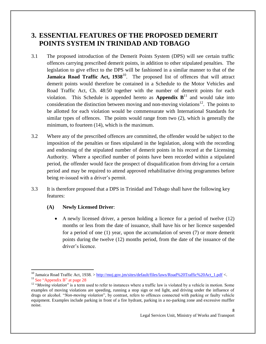## <span id="page-8-0"></span>**3. ESSENTIAL FEATURES OF THE PROPOSED DEMERIT POINTS SYSTEM IN TRINIDAD AND TOBAGO**

- 3.1 The proposed introduction of the Demerit Points System (DPS) will see certain traffic offences carrying prescribed demerit points, in addition to other stipulated penalties. The legislation to give effect to the DPS will be fashioned in a similar manner to that of the **Jamaica Road Traffic Act, 1938**<sup>10</sup>. The proposed list of offences that will attract demerit points would therefore be contained in a Schedule to the Motor Vehicles and Road Traffic Act, Ch. 48:50 together with the number of demerit points for each violation. This Schedule is appended hereto as **Appendix**  $B<sup>11</sup>$  and would take into consideration the distinction between moving and non-moving violations<sup>12</sup>. The points to be allotted for each violation would be commensurate with International Standards for similar types of offences. The points would range from two (2), which is generally the minimum, to fourteen (14), which is the maximum.
- 3.2 Where any of the prescribed offences are committed, the offender would be subject to the imposition of the penalties or fines stipulated in the legislation, along with the recording and endorsing of the stipulated number of demerit points in his record at the Licensing Authority. Where a specified number of points have been recorded within a stipulated period, the offender would face the prospect of disqualification from driving for a certain period and may be required to attend approved rehabilitative driving programmes before being re-issued with a driver's permit.
- 3.3 It is therefore proposed that a DPS in Trinidad and Tobago shall have the following key features:

#### **(A) Newly Licensed Driver**:

 $\overline{\phantom{a}}$ 

 A newly licensed driver, a person holding a licence for a period of twelve (12) months or less from the date of issuance, shall have his or her licence suspended for a period of one (1) year, upon the accumulation of seven (7) or more demerit points during the twelve (12) months period, from the date of the issuance of the driver's licence.

<sup>&</sup>lt;sup>10</sup> Jamaica Road Traffic Act, 1938. > [http://moj.gov.jm/sites/default/files/laws/Road%20Traffic%20Act\\_1.pdf](http://moj.gov.jm/sites/default/files/laws/Road%20Traffic%20Act_1.pdf) <.  $11$  See "Appendix B" at page 28

<sup>&</sup>lt;sup>12</sup> "Moving violation" is a term used to refer to instances where a traffic law is violated by a vehicle in motion. Some examples of moving violations are speeding, running a stop sign or red light, and driving under the influence of drugs or alcohol. "*Non-moving violation*", by contrast, refers to offences connected with parking or faulty vehicle equipment. Examples include parking in front of a fire hydrant, parking in a no-parking zone and excessive muffler noise.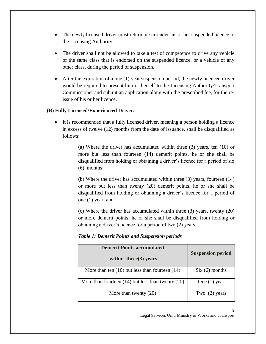- The newly licensed driver must return or surrender his or her suspended licence to the Licensing Authority.
- The driver shall not be allowed to take a test of competence to drive any vehicle of the same class that is endorsed on the suspended licence, or a vehicle of any other class, during the period of suspension.
- After the expiration of a one (1) year suspension period, the newly licenced driver would be required to present him or herself to the Licensing Authority/Transport Commissioner and submit an application along with the prescribed fee, for the reissue of his or her licence.

#### **(B) Fully Licensed/Experienced Driver:**

 It is recommended that a fully licensed driver, meaning a person holding a licence in excess of twelve (12) months from the date of issuance, shall be disqualified as follows:

> (a) Where the driver has accumulated within three (3) years, ten (10) or more but less than fourteen (14) demerit points, he or she shall be disqualified from holding or obtaining a driver's licence for a period of six (6) months;

> (b) Where the driver has accumulated within three (3) years, fourteen (14) or more but less than twenty (20) demerit points, he or she shall be disqualified from holding or obtaining a driver's licence for a period of one (1) year; and

> (c) Where the driver has accumulated within three (3) years, twenty (20) or more demerit points, he or she shall be disqualified from holding or obtaining a driver's licence for a period of two (2) years.

#### *Table 1: Demerit Points and Suspension periods*

| <b>Demerit Points accumulated</b><br>within three $(3)$ years | <b>Suspension period</b> |
|---------------------------------------------------------------|--------------------------|
| More than ten $(10)$ but less than fourteen $(14)$            | Six (6) months           |
| More than fourteen $(14)$ but less than twenty $(20)$         | One $(1)$ year           |
| More than twenty $(20)$                                       | Two $(2)$ years          |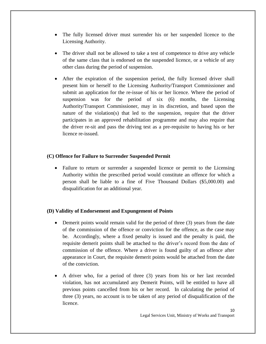- The fully licensed driver must surrender his or her suspended licence to the Licensing Authority.
- The driver shall not be allowed to take a test of competence to drive any vehicle of the same class that is endorsed on the suspended licence, or a vehicle of any other class during the period of suspension.
- After the expiration of the suspension period, the fully licensed driver shall present him or herself to the Licensing Authority/Transport Commissioner and submit an application for the re-issue of his or her licence. Where the period of suspension was for the period of six (6) months, the Licensing Authority/Transport Commissioner, may in its discretion, and based upon the nature of the violation(s) that led to the suspension, require that the driver participates in an approved rehabilitation programme and may also require that the driver re-sit and pass the driving test as a pre-requisite to having his or her licence re-issued.

#### **(C) Offence for Failure to Surrender Suspended Permit**

• Failure to return or surrender a suspended licence or permit to the Licensing Authority within the prescribed period would constitute an offence for which a person shall be liable to a fine of Five Thousand Dollars (\$5,000.00) and disqualification for an additional year.

#### **(D) Validity of Endorsement and Expungement of Points**

- Demerit points would remain valid for the period of three (3) years from the date of the commission of the offence or conviction for the offence, as the case may be. Accordingly, where a fixed penalty is issued and the penalty is paid, the requisite demerit points shall be attached to the driver's record from the date of commission of the offence. Where a driver is found guilty of an offence after appearance in Court, the requisite demerit points would be attached from the date of the conviction.
- A driver who, for a period of three (3) years from his or her last recorded violation, has not accumulated any Demerit Points, will be entitled to have all previous points cancelled from his or her record. In calculating the period of three (3) years, no account is to be taken of any period of disqualification of the licence.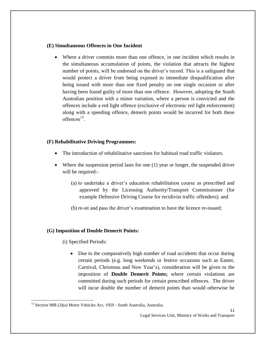#### **(E) Simultaneous Offences in One Incident**

 Where a driver commits more than one offence, in one incident which results in the simultaneous accumulation of points, the violation that attracts the highest number of points, will be endorsed on the driver's record. This is a safeguard that would protect a driver from being exposed to immediate disqualification after being issued with more than one fixed penalty on one single occasion or after having been found guilty of more than one offence. However, adopting the South Australian position with a minor variation, where a person is convicted and the offences include a red light offence (exclusive of electronic red light enforcement) along with a speeding offence, demerit points would be incurred for both these offences $^{13}$ .

#### **(F) Rehabilitative Driving Programmes:**

- The introduction of rehabilitative sanctions for habitual road traffic violators.
- $\bullet$  Where the suspension period lasts for one (1) year or longer, the suspended driver will be required:-
	- (a) to undertake a driver's education rehabilitation course as prescribed and approved by the Licensing Authority/Transport Commissioner (for example Defensive Driving Course for recidivist traffic offenders); and
	- (b) re-sit and pass the driver's examination to have the licence re-issued;

#### **(G) Imposition of Double Demerit Points:**

(i) Specified Periods:

l

 Due to the comparatively high number of road accidents that occur during certain periods (e.g. long weekends or festive occasions such as Easter, Carnival, Christmas and New Year's), consideration will be given to the imposition of **Double Demerit Points;** where certain violations are committed during such periods for certain prescribed offences. The driver will incur double the number of demerit points than would otherwise be

<sup>&</sup>lt;sup>13</sup> Section 98B (3)(a) Motor Vehicles Act, 1959 - South Australia, Australia.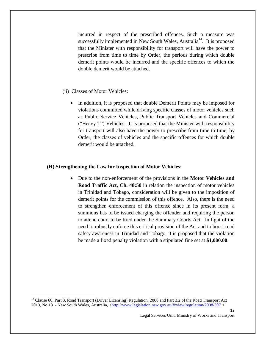incurred in respect of the prescribed offences. Such a measure was successfully implemented in New South Wales, Australia<sup>14</sup>. It is proposed that the Minister with responsibility for transport will have the power to prescribe from time to time by Order, the periods during which double demerit points would be incurred and the specific offences to which the double demerit would be attached.

- (ii) Classes of Motor Vehicles:
	- In addition, it is proposed that double Demerit Points may be imposed for violations committed while driving specific classes of motor vehicles such as Public Service Vehicles, Public Transport Vehicles and Commercial ("Heavy T") Vehicles. It is proposed that the Minister with responsibility for transport will also have the power to prescribe from time to time, by Order, the classes of vehicles and the specific offences for which double demerit would be attached.

#### **(H) Strengthening the Law for Inspection of Motor Vehicles:**

 Due to the non-enforcement of the provisions in the **Motor Vehicles and Road Traffic Act, Ch. 48:50** in relation the inspection of motor vehicles in Trinidad and Tobago, consideration will be given to the imposition of demerit points for the commission of this offence. Also, there is the need to strengthen enforcement of this offence since in its present form, a summons has to be issued charging the offender and requiring the person to attend court to be tried under the Summary Courts Act. In light of the need to robustly enforce this critical provision of the Act and to boost road safety awareness in Trinidad and Tobago, it is proposed that the violation be made a fixed penalty violation with a stipulated fine set at **\$1,000.00**.

 $\overline{\phantom{a}}$ 

12

<sup>&</sup>lt;sup>14</sup> Clause 60, Part 8, Road Transport (Driver Licensing) Regulation, 2008 and Part 3.2 of the Road Transport Act 2013, No.18 - New South Wales, Australia, [>http://www.legislation.nsw.gov.au/#/view/regulation/2008/397](http://www.legislation.nsw.gov.au/#/view/regulation/2008/397) <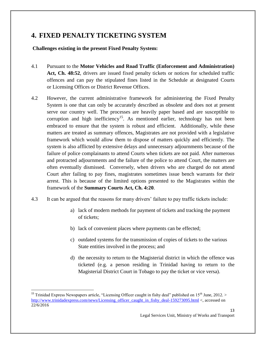# <span id="page-13-0"></span>**4. FIXED PENALTY TICKETING SYSTEM**

**Challenges existing in the present Fixed Penalty System:**

- 4.1 Pursuant to the **Motor Vehicles and Road Traffic (Enforcement and Administration) Act, Ch. 48:52**, drivers are issued fixed penalty tickets or notices for scheduled traffic offences and can pay the stipulated fines listed in the Schedule at designated Courts or Licensing Offices or District Revenue Offices.
- 4.2 However, the current administrative framework for administering the Fixed Penalty System is one that can only be accurately described as obsolete and does not at present serve our country well. The processes are heavily paper based and are susceptible to corruption and high inefficiency<sup>15</sup>. As mentioned earlier, technology has not been embraced to ensure that the system is robust and efficient. Additionally, while these matters are treated as summary offences, Magistrates are not provided with a legislative framework which would allow them to dispose of matters quickly and efficiently. The system is also afflicted by extensive delays and unnecessary adjournments because of the failure of police complainants to attend Courts when tickets are not paid. After numerous and protracted adjournments and the failure of the police to attend Court, the matters are often eventually dismissed. Conversely, when drivers who are charged do not attend Court after failing to pay fines, magistrates sometimes issue bench warrants for their arrest. This is because of the limited options presented to the Magistrates within the framework of the **Summary Courts Act, Ch. 4:20**.
- 4.3 It can be argued that the reasons for many drivers' failure to pay traffic tickets include:
	- a) lack of modern methods for payment of tickets and tracking the payment of tickets;
	- b) lack of convenient places where payments can be effected;
	- c) outdated systems for the transmission of copies of tickets to the various State entities involved in the process; and
	- d) the necessity to return to the Magisterial district in which the offence was ticketed (e.g. a person residing in Trinidad having to return to the Magisterial District Court in Tobago to pay the ticket or vice versa).

 $\overline{a}$ 

<sup>&</sup>lt;sup>15</sup> Trinidad Express Newspapers article, "Licensing Officer caught in fishy deal" published on  $15<sup>th</sup>$  June, 2012. > [http://www.trinidadexpress.com/news/Licensing\\_officer\\_caught\\_in\\_fishy\\_deal-159273095.html](http://www.trinidadexpress.com/news/Licensing_officer_caught_in_fishy_deal-159273095.html) <, accessed on 22/6/2016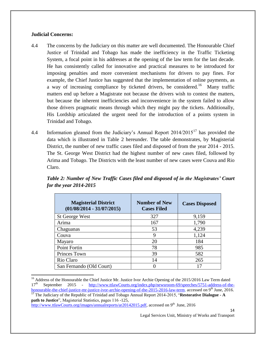#### **Judicial Concerns:**

 $\overline{a}$ 

- 4.4 The concerns by the Judiciary on this matter are well documented. The Honourable Chief Justice of Trinidad and Tobago has made the inefficiency in the Traffic Ticketing System, a focal point in his addresses at the opening of the law term for the last decade. He has consistently called for innovative and practical measures to be introduced for imposing penalties and more convenient mechanisms for drivers to pay fines. For example, the Chief Justice has suggested that the implementation of online payments, as a way of increasing compliance by ticketed drivers, be considered.<sup>16</sup> Many traffic matters end up before a Magistrate not because the drivers wish to contest the matters, but because the inherent inefficiencies and inconvenience in the system failed to allow those drivers pragmatic means through which they might pay the tickets. Additionally, His Lordship articulated the urgent need for the introduction of a points system in Trinidad and Tobago.
- 4.4 Information gleaned from the Judiciary's Annual Report  $2014/2015^{17}$  has provided the data which is illustrated in Table 2 hereunder. The table demonstrates, by Magisterial District, the number of new traffic cases filed and disposed of from the year 2014 - 2015. The St. George West District had the highest number of new cases filed, followed by Arima and Tobago. The Districts with the least number of new cases were Couva and Rio Claro.

| <b>Magisterial District</b><br>$(01/08/2014 - 31/07/2015)$ | <b>Number of New</b><br><b>Cases Filed</b> | <b>Cases Disposed</b> |
|------------------------------------------------------------|--------------------------------------------|-----------------------|
| <b>St George West</b>                                      | 327                                        | 9,159                 |
| Arima                                                      | 167                                        | 1,790                 |
| Chaguanas                                                  | 53                                         | 4,239                 |
| Couva                                                      | 9                                          | 1,124                 |
| Mayaro                                                     | 20                                         | 184                   |
| Point Fortin                                               | 78                                         | 985                   |
| Princes Town                                               | 39                                         | 582                   |
| Rio Claro                                                  | 14                                         | 265                   |
| San Fernando (Old Court)                                   |                                            |                       |

*Table 2: Number of New Traffic Cases filed and disposed of in the Magistrates' Court for the year 2014-2015*

14

<sup>&</sup>lt;sup>16</sup> Address of the Honourable the Chief Justice Mr. Justice Ivor Archie Opening of the 2015/2016 Law Term dated 17<sup>th</sup> September 2015 - [http://www.ttlawCourts.org/index.php/newsroom-69/speeches/5751-address-of-the](http://www.ttlawcourts.org/index.php/newsroom-69/speeches/5751-address-of-the-honourable-the-chief-justice-mr-justice-ivor-archie-opening-of-the-2015-2016-law-term)[honourable-the-chief-justice-mr-justice-ivor-archie-opening-of-the-2015-2016-law-term,](http://www.ttlawcourts.org/index.php/newsroom-69/speeches/5751-address-of-the-honourable-the-chief-justice-mr-justice-ivor-archie-opening-of-the-2015-2016-law-term) accessed on 9<sup>th</sup> June, 2016. <sup>17</sup> The Judiciary of the Republic of Trinidad and Tobago Annual Report 2014-2015, "**Restorative Dialogue - A path to Justice**", Magisterial Statistics, pages 116 -125,

[http://www.ttlawCourts.org/images/annualreports/ar20142015.pdf,](http://www.ttlawcourts.org/images/annualreports/ar20142015.pdf) accessed on 9<sup>th</sup> June, 2016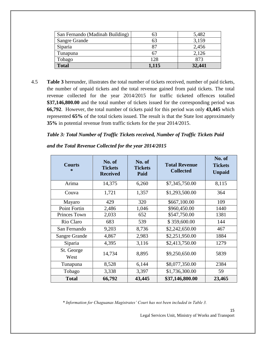| San Fernando (Madinah Building) |       | 5,482  |
|---------------------------------|-------|--------|
| <b>Sangre Grande</b>            | 63    | 3,159  |
| Siparia                         |       | 2,456  |
| Tunapuna                        | 67    | 2,126  |
| Tobago                          | 128   | 873    |
| <b>Total</b>                    | 1,115 | 32,441 |

4.5 **Table 3** hereunder, illustrates the total number of tickets received, number of paid tickets, the number of unpaid tickets and the total revenue gained from paid tickets. The total revenue collected for the year 2014/2015 for traffic ticketed offences totalled **\$37,146,800.00** and the total number of tickets issued for the corresponding period was **66,792**. However, the total number of tickets paid for this period was only **43,445** which represented **65%** of the total tickets issued. The result is that the State lost approximately **35%** in potential revenue from traffic tickets for the year 2014/2015.

#### *Table 3: Total Number of Traffic Tickets received, Number of Traffic Tickets Paid*

| <b>Courts</b><br>$\ast$ | No. of<br><b>Tickets</b><br><b>Received</b> | No. of<br><b>Tickets</b><br>Paid | <b>Total Revenue</b><br><b>Collected</b> | No. of<br><b>Tickets</b><br><b>Unpaid</b> |
|-------------------------|---------------------------------------------|----------------------------------|------------------------------------------|-------------------------------------------|
| Arima                   | 14,375                                      | 6,260                            | \$7,345,750.00                           | 8,115                                     |
| Couva                   | 1,721                                       | 1,357                            | \$1,293,500.00                           | 364                                       |
| Mayaro                  | 429                                         | 320                              | \$667,100.00                             | 109                                       |
| Point Fortin            | 2,486                                       | 1,046                            | \$960,450.00                             | 1440                                      |
| Princes Town            | 2,033                                       | 652                              | \$547,750.00                             | 1381                                      |
| Rio Claro               | 683                                         | 539                              | \$359,600.00                             | 144                                       |
| San Fernando            | 9,203                                       | 8,736                            | \$2,242,650.00                           | 467                                       |
| Sangre Grande           | 4,867                                       | 2,983                            | \$2,251,950.00                           | 1884                                      |
| Siparia                 | 4,395                                       | 3,116                            | \$2,413,750.00                           | 1279                                      |
| St. George<br>West      | 14,734                                      | 8,895                            | \$9,250,650.00                           | 5839                                      |
| Tunapuna                | 8,528                                       | 6,144                            | \$8,077,350.00                           | 2384                                      |
| Tobago                  | 3,338                                       | 3,397                            | \$1,736,300.00                           | 59                                        |
| <b>Total</b>            | 66,792                                      | 43,445                           | \$37,146,800.00                          | 23,465                                    |

*and the Total Revenue Collected for the year 2014/2015*

*\* Information for Chaguanas Magistrates' Court has not been included in Table 3.*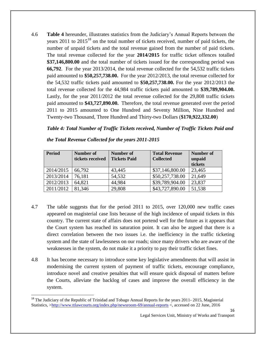4.6 **Table 4** hereunder, illustrates statistics from the Judiciary's Annual Reports between the years 2011 to  $2015^{18}$  on the total number of tickets received, number of paid tickets, the number of unpaid tickets and the total revenue gained from the number of paid tickets. The total revenue collected for the year **2014/2015** for traffic ticket offences totalled **\$37,146,800.00** and the total number of tickets issued for the corresponding period was **66,792**. For the year 2013/2014, the total revenue collected for the 54,532 traffic tickets paid amounted to **\$50,257,738.00.** For the year 2012/2013, the total revenue collected for the 54,532 traffic tickets paid amounted to **\$50,257,738.00.** For the year 2012/2013 the total revenue collected for the 44,984 traffic tickets paid amounted to **\$39,789,904.00.**  Lastly, for the year 2011/2012 the total revenue collected for the 29,808 traffic tickets paid amounted to **\$43,727,890.00.** Therefore, the total revenue generated over the period 2011 to 2015 amounted to One Hundred and Seventy Million, Nine Hundred and Twenty-two Thousand, Three Hundred and Thirty-two Dollars (**\$170,922,332.00**)

#### *Table 4: Total Number of Traffic Tickets received, Number of Traffic Tickets Paid and*

| <b>Period</b> | Number of        | <b>Number of</b>    | <b>Total Revenue</b> | Number of |
|---------------|------------------|---------------------|----------------------|-----------|
|               | tickets received | <b>Tickets Paid</b> | <b>Collected</b>     | unpaid    |
|               |                  |                     |                      | tickets   |
| 2014/2015     | 66,792           | 43,445              | \$37,146,800.00      | 23,465    |
| 2013/2014     | 76,181           | 54,532              | \$50,257,738.00      | 21,649    |
| 2012/2013     | 64,821           | 44,984              | \$39,789,904.00      | 23,837    |
| 2011/2012     | 81,346           | 29,808              | \$43,727,890.00      | 51,538    |

*the Total Revenue Collected for the years 2011-2015*

- 4.7 The table suggests that for the period 2011 to 2015, over 120,000 new traffic cases appeared on magisterial case lists because of the high incidence of unpaid tickets in this country. The current state of affairs does not portend well for the future as it appears that the Court system has reached its saturation point. It can also be argued that there is a direct correlation between the two issues i.e. the inefficiency in the traffic ticketing system and the state of lawlessness on our roads; since many drivers who are aware of the weaknesses in the system, do not make it a priority to pay their traffic ticket fines.
- 4.8 It has become necessary to introduce some key legislative amendments that will assist in modernising the current system of payment of traffic tickets, encourage compliance, introduce novel and creative penalties that will ensure quick disposal of matters before the Courts, alleviate the backlog of cases and improve the overall efficiency in the system.

16

 $\overline{\phantom{a}}$ <sup>18</sup> The Judiciary of the Republic of Trinidad and Tobago Annual Reports for the years 2011- 2015, Magisterial Statistics, [>http://www.ttlawcourts.org/index.php/newsroom-69/annual-reports](http://www.ttlawcourts.org/index.php/newsroom-69/annual-reports) <, accessed on 22 June, 2016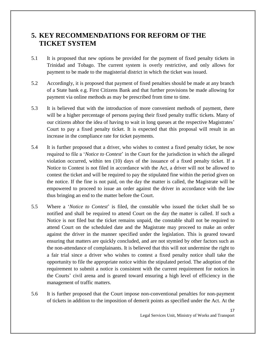# <span id="page-17-0"></span>**5. KEY RECOMMENDATIONS FOR REFORM OF THE TICKET SYSTEM**

- 5.1 It is proposed that new options be provided for the payment of fixed penalty tickets in Trinidad and Tobago. The current system is overly restrictive, and only allows for payment to be made to the magisterial district in which the ticket was issued.
- 5.2 Accordingly, it is proposed that payment of fixed penalties should be made at any branch of a State bank e.g. First Citizens Bank and that further provisions be made allowing for payment via online methods as may be prescribed from time to time.
- 5.3 It is believed that with the introduction of more convenient methods of payment, there will be a higher percentage of persons paying their fixed penalty traffic tickets. Many of our citizens abhor the idea of having to wait in long queues at the respective Magistrates' Court to pay a fixed penalty ticket. It is expected that this proposal will result in an increase in the compliance rate for ticket payments.
- 5.4 It is further proposed that a driver, who wishes to contest a fixed penalty ticket, be now required to file a '*Notice to Contest*' in the Court for the jurisdiction in which the alleged violation occurred, within ten (10) days of the issuance of a fixed penalty ticket. If a Notice to Contest is not filed in accordance with the Act, a driver will not be allowed to contest the ticket and will be required to pay the stipulated fine within the period given on the notice. If the fine is not paid, on the day the matter is called, the Magistrate will be empowered to proceed to issue an order against the driver in accordance with the law thus bringing an end to the matter before the Court.
- 5.5 Where a '*Notice to Contest*' is filed, the constable who issued the ticket shall be so notified and shall be required to attend Court on the day the matter is called. If such a Notice is not filed but the ticket remains unpaid, the constable shall not be required to attend Court on the scheduled date and the Magistrate may proceed to make an order against the driver in the manner specified under the legislation. This is geared toward ensuring that matters are quickly concluded, and are not stymied by other factors such as the non-attendance of complainants. It is believed that this will not undermine the right to a fair trial since a driver who wishes to contest a fixed penalty notice shall take the opportunity to file the appropriate notice within the stipulated period. The adoption of the requirement to submit a notice is consistent with the current requirement for notices in the Courts' civil arena and is geared toward ensuring a high level of efficiency in the management of traffic matters.
- 5.6 It is further proposed that the Court impose non-conventional penalties for non-payment of tickets in addition to the imposition of demerit points as specified under the Act. At the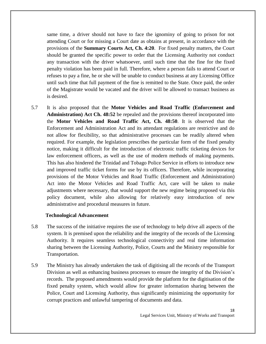same time, a driver should not have to face the ignominy of going to prison for not attending Court or for missing a Court date as obtains at present, in accordance with the provisions of the **Summary Courts Act, Ch. 4:20**. For fixed penalty matters, the Court should be granted the specific power to order that the Licensing Authority not conduct any transaction with the driver whatsoever, until such time that the fine for the fixed penalty violation has been paid in full. Therefore, where a person fails to attend Court or refuses to pay a fine, he or she will be unable to conduct business at any Licensing Office until such time that full payment of the fine is remitted to the State. Once paid, the order of the Magistrate would be vacated and the driver will be allowed to transact business as is desired.

5.7 It is also proposed that the **Motor Vehicles and Road Traffic (Enforcement and Administration) Act Ch. 48:52** be repealed and the provisions thereof incorporated into the **Motor Vehicles and Road Traffic Act, Ch. 48:50**. It is observed that the Enforcement and Administration Act and its attendant regulations are restrictive and do not allow for flexibility, so that administrative processes can be readily altered when required. For example, the legislation prescribes the particular form of the fixed penalty notice, making it difficult for the introduction of electronic traffic ticketing devices for law enforcement officers, as well as the use of modern methods of making payments. This has also hindered the Trinidad and Tobago Police Service in efforts to introduce new and improved traffic ticket forms for use by its officers. Therefore, while incorporating provisions of the Motor Vehicles and Road Traffic (Enforcement and Administration) Act into the Motor Vehicles and Road Traffic Act, care will be taken to make adjustments where necessary, that would support the new regime being proposed via this policy document, while also allowing for relatively easy introduction of new administrative and procedural measures in future.

#### **Technological Advancement**

- 5.8 The success of the initiative requires the use of technology to help drive all aspects of the system. It is premised upon the reliability and the integrity of the records of the Licensing Authority. It requires seamless technological connectivity and real time information sharing between the Licensing Authority, Police, Courts and the Ministry responsible for Transportation.
- 5.9 The Ministry has already undertaken the task of digitising all the records of the Transport Division as well as enhancing business processes to ensure the integrity of the Division's records. The proposed amendments would provide the platform for the digitisation of the fixed penalty system, which would allow for greater information sharing between the Police, Court and Licensing Authority, thus significantly minimizing the opportunity for corrupt practices and unlawful tampering of documents and data.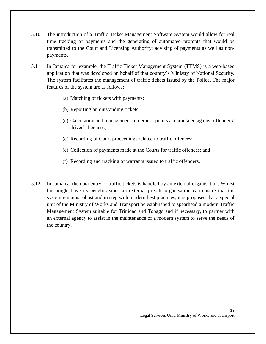- 5.10 The introduction of a Traffic Ticket Management Software System would allow for real time tracking of payments and the generating of automated prompts that would be transmitted to the Court and Licensing Authority; advising of payments as well as nonpayments.
- 5.11 In Jamaica for example, the Traffic Ticket Management System (TTMS) is a web-based application that was developed on behalf of that country's Ministry of National Security. The system facilitates the management of traffic tickets issued by the Police. The major features of the system are as follows:
	- (a) Matching of tickets with payments;
	- (b) Reporting on outstanding tickets;
	- (c) Calculation and management of demerit points accumulated against offenders' driver's licences;
	- (d) Recording of Court proceedings related to traffic offences;
	- (e) Collection of payments made at the Courts for traffic offences; and
	- (f) Recording and tracking of warrants issued to traffic offenders.
- 5.12 In Jamaica, the data-entry of traffic tickets is handled by an external organisation. Whilst this might have its benefits since an external private organisation can ensure that the system remains robust and in step with modern best practices, it is proposed that a special unit of the Ministry of Works and Transport be established to spearhead a modern Traffic Management System suitable for Trinidad and Tobago and if necessary, to partner with an external agency to assist in the maintenance of a modern system to serve the needs of the country.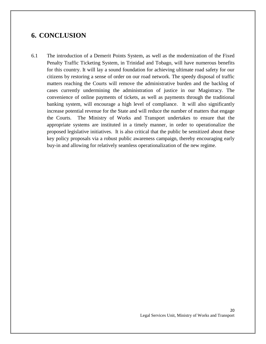# <span id="page-20-0"></span>**6. CONCLUSION**

6.1 The introduction of a Demerit Points System, as well as the modernization of the Fixed Penalty Traffic Ticketing System, in Trinidad and Tobago, will have numerous benefits for this country. It will lay a sound foundation for achieving ultimate road safety for our citizens by restoring a sense of order on our road network. The speedy disposal of traffic matters reaching the Courts will remove the administrative burden and the backlog of cases currently undermining the administration of justice in our Magistracy. The convenience of online payments of tickets, as well as payments through the traditional banking system, will encourage a high level of compliance. It will also significantly increase potential revenue for the State and will reduce the number of matters that engage the Courts. The Ministry of Works and Transport undertakes to ensure that the appropriate systems are instituted in a timely manner, in order to operationalize the proposed legislative initiatives. It is also critical that the public be sensitized about these key policy proposals via a robust public awareness campaign, thereby encouraging early buy-in and allowing for relatively seamless operationalization of the new regime.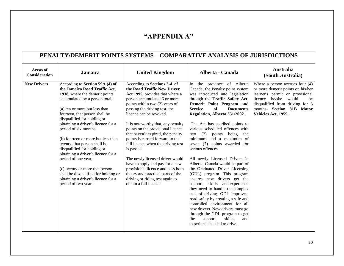### **"APPENDIX A"**

### **PENALTY/DEMERIT POINTS SYSTEMS – COMPARATIVE ANALYSIS OF JURISDICTIONS**

<span id="page-21-0"></span>

| Areas of<br><b>Consideration</b> | <b>Jamaica</b>                                                                                                                                                                                                                                                                                                                                                                                                                                                                                                                                                                                                  | <b>United Kingdom</b>                                                                                                                                                                                                                                                                                                                                                                                                                                                                                                                                                                                                                             | Alberta - Canada                                                                                                                                                                                                                                                                                                                                                                                                                                                                                                                                                                                                                                                                                                                                                                                                                                                                                                                         | <b>Australia</b><br>(South Australia)                                                                                                                                                                                          |
|----------------------------------|-----------------------------------------------------------------------------------------------------------------------------------------------------------------------------------------------------------------------------------------------------------------------------------------------------------------------------------------------------------------------------------------------------------------------------------------------------------------------------------------------------------------------------------------------------------------------------------------------------------------|---------------------------------------------------------------------------------------------------------------------------------------------------------------------------------------------------------------------------------------------------------------------------------------------------------------------------------------------------------------------------------------------------------------------------------------------------------------------------------------------------------------------------------------------------------------------------------------------------------------------------------------------------|------------------------------------------------------------------------------------------------------------------------------------------------------------------------------------------------------------------------------------------------------------------------------------------------------------------------------------------------------------------------------------------------------------------------------------------------------------------------------------------------------------------------------------------------------------------------------------------------------------------------------------------------------------------------------------------------------------------------------------------------------------------------------------------------------------------------------------------------------------------------------------------------------------------------------------------|--------------------------------------------------------------------------------------------------------------------------------------------------------------------------------------------------------------------------------|
| <b>New Drivers</b>               | According to Section 59A (4) of<br>the Jamaica Road Traffic Act,<br>1938, where the demerit points<br>accumulated by a person total:<br>(a) ten or more but less than<br>fourteen, that person shall be<br>disqualified for holding or<br>obtaining a driver's licence for a<br>period of six months;<br>(b) fourteen or more but less than<br>twenty, that person shall be<br>disqualified for holding or<br>obtaining a driver's licence for a<br>period of one year;<br>(c) twenty or more that person<br>shall be disqualified for holding or<br>obtaining a driver's licence for a<br>period of two years. | According to Sections 2-4 of<br>the Road Traffic New Driver<br>Act 1995, provides that where a<br>person accumulated 6 or more<br>points within two (2) years of<br>passing the driving test, the<br>licence can be revoked.<br>It is noteworthy that, any penalty<br>points on the provisional licence<br>that haven't expired, the penalty<br>points is carried forward to the<br>full licence when the driving test<br>is passed.<br>The newly licensed driver would<br>have to apply and pay for a new<br>provisional licence and pass both<br>theory and practical parts of the<br>driving or riding test again to<br>obtain a full licence. | In the province of Alberta<br>Canada, the Penalty point system<br>was introduced into legislation<br>through the Traffic Safety Act,<br>Demerit Point Program and<br>of<br><b>Service</b><br><b>Documents</b><br>Regulation, Alberta 331/2002.<br>The Act has ascribed points to<br>various scheduled offences with<br>two $(2)$<br>points<br>being<br>the<br>minimum and a maximum of<br>seven (7) points awarded for<br>serious offences.<br>All newly Licensed Drivers in<br>Alberta, Canada would be part of<br>the Graduated Driver Licensing<br>(GDL) program. This program<br>ensures new drivers get the<br>support, skills and experience<br>they need to handle the complex<br>task of driving. GDL improves<br>road safety by creating a safe and<br>controlled environment for all<br>new drivers. New drivers must go<br>through the GDL program to get<br>skills,<br>the<br>support,<br>and<br>experience needed to drive. | Where a person accrues four $(4)$<br>or more demerit points on his/her<br>learner's permit or provisional<br>licence he/she would<br>be<br>disqualified from driving for 6<br>months- Section 81B Motor<br>Vehicles Act, 1959. |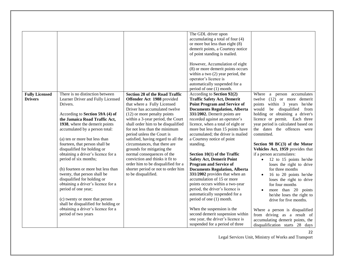| <b>Fully Licensed</b><br><b>Drivers</b> | There is no distinction between<br>Learner Driver and Fully Licensed<br>Drivers.<br>According to Section 59A (4) of<br>the Jamaica Road Traffic Act,<br>1938, where the demerit points<br>accumulated by a person total:<br>(a) ten or more but less than<br>fourteen, that person shall be<br>disqualified for holding or<br>obtaining a driver's licence for a<br>period of six months;<br>(b) fourteen or more but less than<br>twenty, that person shall be<br>disqualified for holding or<br>obtaining a driver's licence for a<br>period of one year;<br>(c) twenty or more that person<br>shall be disqualified for holding or<br>obtaining a driver's licence for a<br>period of two years | <b>Section 28 of the Road Traffic</b><br>Offender Act 1988 provided<br>that where a Fully Licensed<br>Driver has accumulated twelve<br>(12) or more penalty points<br>within a 3-year period, the Court<br>shall order him to be disqualified<br>for not less than the minimum<br>period unless the Court is<br>satisfied, having regard to all the<br>circumstances, that there are<br>grounds for mitigating the<br>normal consequences of the<br>conviction and thinks it fit to<br>order him to be disqualified for a<br>shorter period or not to order him<br>to be disqualified. | The GDL driver upon<br>accumulating a total of four (4)<br>or more but less than eight (8)<br>demerit points, a Courtesy notice<br>of point standing is mailed.<br>However, Accumulation of eight<br>(8) or more demerit points occurs<br>within a two $(2)$ year period, the<br>operator's licence is<br>automatically suspended for a<br>period of one (1) month.<br>According to Section 92(2)<br><b>Traffic Safety Act, Demerit</b><br><b>Point Program and Service of</b><br><b>Documents Regulation, Alberta</b><br>331/2002. Demerit points are<br>recorded against an operator's<br>licence, when a total of eight or<br>more but less than 15 points have<br>accumulated; the driver is mailed<br>a Courtesy notice of point<br>standing.<br>Section $10(1)$ of the Traffic<br><b>Safety Act, Demerit Point</b><br><b>Program and Service of</b><br><b>Documents Regulation, Alberta</b><br>331/2002 provides that when an<br>accumulation of 15 or more<br>points occurs within a two-year<br>period, the driver's licence is<br>automatically suspended for a<br>period of one (1) month.<br>When the suspension is the<br>second demerit suspension within | Where<br>a person accumulates<br>twelve (12) or more demerit<br>points within 3 years he/she<br>would<br>be disqualified from<br>holding or obtaining a driver's<br>licence or permit. Each three<br>year period is calculated based on<br>the dates the offences were<br>committed.<br>Section 98 $BC(3)$ of the Motor<br>Vehicles Act, 1959 provides that<br>if a person accumulates:<br>12 to 15 points he/she<br>$\bullet$<br>loses the right to drive<br>for three months<br>16 to 20 points he/she<br>loses the right to drive<br>for four months<br>more than 20 points<br>he/she loses the right to<br>drive for five months.<br>Where a person is disqualified<br>from driving as a result of |
|-----------------------------------------|----------------------------------------------------------------------------------------------------------------------------------------------------------------------------------------------------------------------------------------------------------------------------------------------------------------------------------------------------------------------------------------------------------------------------------------------------------------------------------------------------------------------------------------------------------------------------------------------------------------------------------------------------------------------------------------------------|----------------------------------------------------------------------------------------------------------------------------------------------------------------------------------------------------------------------------------------------------------------------------------------------------------------------------------------------------------------------------------------------------------------------------------------------------------------------------------------------------------------------------------------------------------------------------------------|------------------------------------------------------------------------------------------------------------------------------------------------------------------------------------------------------------------------------------------------------------------------------------------------------------------------------------------------------------------------------------------------------------------------------------------------------------------------------------------------------------------------------------------------------------------------------------------------------------------------------------------------------------------------------------------------------------------------------------------------------------------------------------------------------------------------------------------------------------------------------------------------------------------------------------------------------------------------------------------------------------------------------------------------------------------------------------------------------------------------------------------------------------------------|--------------------------------------------------------------------------------------------------------------------------------------------------------------------------------------------------------------------------------------------------------------------------------------------------------------------------------------------------------------------------------------------------------------------------------------------------------------------------------------------------------------------------------------------------------------------------------------------------------------------------------------------------------------------------------------------------------|
|                                         |                                                                                                                                                                                                                                                                                                                                                                                                                                                                                                                                                                                                                                                                                                    |                                                                                                                                                                                                                                                                                                                                                                                                                                                                                                                                                                                        | one year, the driver's licence is<br>suspended for a period of three                                                                                                                                                                                                                                                                                                                                                                                                                                                                                                                                                                                                                                                                                                                                                                                                                                                                                                                                                                                                                                                                                                   | accumulating demerit points, the<br>disqualification starts 28 days                                                                                                                                                                                                                                                                                                                                                                                                                                                                                                                                                                                                                                    |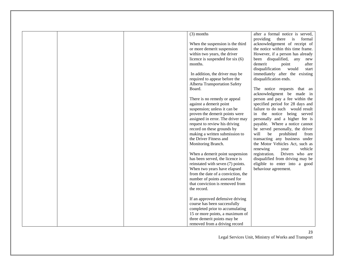| $(3)$ months                                                     | after a formal notice is served,             |
|------------------------------------------------------------------|----------------------------------------------|
|                                                                  | providing<br>there<br>$\mathbf{a}$<br>formal |
| When the suspension is the third                                 | acknowledgement of receipt of                |
| or more demerit suspension                                       | the notice within this time frame.           |
| within two years, the driver                                     | However, if a person has already             |
| licence is suspended for six $(6)$                               | been disqualified, any<br>new                |
| months.                                                          | demerit<br>point<br>after                    |
|                                                                  | disqualification<br>would<br>start           |
| In addition, the driver may be                                   | immediately after the existing               |
| required to appear before the                                    | disqualification ends.                       |
| Alberta Transportation Safety                                    |                                              |
| Board.                                                           | The notice requests that an                  |
|                                                                  | acknowledgment be made in                    |
| There is no remedy or appeal                                     | person and pay a fee within the              |
| against a demerit point                                          | specified period for 28 days and             |
| suspension; unless it can be                                     | failure to do such would result              |
| proven the demerit points were                                   | in the notice being served                   |
| assigned in error. The driver may                                | personally and a higher fee is               |
| request to review his driving                                    | payable. Where a notice cannot               |
| record on these grounds by                                       | be served personally, the driver             |
| making a written submission to                                   | will<br>be<br>prohibited<br>from             |
| the Driver Fitness and                                           | transacting any business under               |
| Monitoring Branch.                                               | the Motor Vehicles Act, such as              |
|                                                                  | renewing<br>vehicle<br>your                  |
| When a demerit point suspension                                  | registration.<br>Drivers who are             |
| has been served, the licence is                                  | disqualified from driving may be             |
| reinstated with seven (7) points.                                | eligible to enter into a good                |
| When two years have elapsed                                      | behaviour agreement.                         |
| from the date of a conviction, the                               |                                              |
| number of points assessed for                                    |                                              |
| that conviction is removed from                                  |                                              |
| the record.                                                      |                                              |
|                                                                  |                                              |
| If an approved defensive driving<br>course has been successfully |                                              |
| completed prior to accumulating                                  |                                              |
| 15 or more points, a maximum of                                  |                                              |
| three demerit points may be                                      |                                              |
| removed from a driving record                                    |                                              |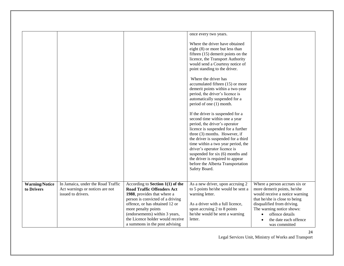|                                     |                                                                                             |                                                                                                                                                                                                                                                                                                             | once every two years.<br>Where the driver have obtained<br>eight (8) or more but less than<br>fifteen $(15)$ demerit points on the<br>licence, the Transport Authority<br>would send a Courtesy notice of<br>point standing to the driver.<br>Where the driver has<br>accumulated fifteen (15) or more<br>demerit points within a two-year<br>period, the driver's licence is<br>automatically suspended for a<br>period of one (1) month.<br>If the driver is suspended for a<br>second time within one a year<br>period, the driver's operator<br>licence is suspended for a further<br>three (3) months. However, if<br>the driver is suspended for a third<br>time within a two year period, the<br>driver's operator licence is<br>suspended for six (6) months and<br>the driver is required to appear<br>before the Alberta Transportation<br>Safety Board. |                                                                                                                                                                                                                                                         |
|-------------------------------------|---------------------------------------------------------------------------------------------|-------------------------------------------------------------------------------------------------------------------------------------------------------------------------------------------------------------------------------------------------------------------------------------------------------------|--------------------------------------------------------------------------------------------------------------------------------------------------------------------------------------------------------------------------------------------------------------------------------------------------------------------------------------------------------------------------------------------------------------------------------------------------------------------------------------------------------------------------------------------------------------------------------------------------------------------------------------------------------------------------------------------------------------------------------------------------------------------------------------------------------------------------------------------------------------------|---------------------------------------------------------------------------------------------------------------------------------------------------------------------------------------------------------------------------------------------------------|
| <b>Warning/Notice</b><br>to Drivers | In Jamaica, under the Road Traffic<br>Act warnings or notices are not<br>issued to drivers. | According to Section $1(1)$ of the<br><b>Road Traffic Offenders Act</b><br>1988, provides that where a<br>person is convicted of a driving<br>offence, or has obtained 12 or<br>more penalty points<br>(endorsements) within 3 years,<br>the Licence holder would receive<br>a summons in the post advising | As a new driver, upon accruing 2<br>to 5 points he/she would be sent a<br>warning letter.<br>As a driver with a full licence,<br>upon accruing 2 to 8 points<br>he/she would be sent a warning<br>letter.                                                                                                                                                                                                                                                                                                                                                                                                                                                                                                                                                                                                                                                          | Where a person accrues six or<br>more demerit points, he/she<br>would receive a notice warning<br>that he/she is close to being<br>disqualified from driving.<br>The warning notice shows:<br>offence details<br>the date each offence<br>was committed |

24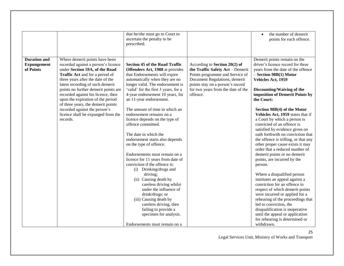|                                                        |                                                                                                                                                                                                                                                                                                                                                                                                                                                                        | that he/she must go to Court to<br>ascertain the penalty to be<br>prescribed.                                                                                                                                                                                                                                                                                                                                                                                                                                                                                                                                                                                                                                                                                                                                                                                                            |                                                                                                                                                                                                                             | the number of demerit<br>points for each offence.                                                                                                                                                                                                                                                                                                                                                                                                                                                                                                                                                                                                                                                                                                                                                                                                                                                                                                                                                  |
|--------------------------------------------------------|------------------------------------------------------------------------------------------------------------------------------------------------------------------------------------------------------------------------------------------------------------------------------------------------------------------------------------------------------------------------------------------------------------------------------------------------------------------------|------------------------------------------------------------------------------------------------------------------------------------------------------------------------------------------------------------------------------------------------------------------------------------------------------------------------------------------------------------------------------------------------------------------------------------------------------------------------------------------------------------------------------------------------------------------------------------------------------------------------------------------------------------------------------------------------------------------------------------------------------------------------------------------------------------------------------------------------------------------------------------------|-----------------------------------------------------------------------------------------------------------------------------------------------------------------------------------------------------------------------------|----------------------------------------------------------------------------------------------------------------------------------------------------------------------------------------------------------------------------------------------------------------------------------------------------------------------------------------------------------------------------------------------------------------------------------------------------------------------------------------------------------------------------------------------------------------------------------------------------------------------------------------------------------------------------------------------------------------------------------------------------------------------------------------------------------------------------------------------------------------------------------------------------------------------------------------------------------------------------------------------------|
| <b>Duration and</b><br><b>Expungement</b><br>of Points | Where demerit points have been<br>recorded against a person's licence<br>under Section 59A, of the Road<br><b>Traffic Act</b> and for a period of<br>three years after the date of the<br>latest recording of such demerit<br>points no further demerit points are<br>recorded against his licence, then<br>upon the expiration of the period<br>of three years, the demerit points<br>recorded against the person's<br>licence shall be expunged from the<br>records. | <b>Section 45 of the Road Traffic</b><br>Offenders Act, 1988 at provides<br>that Endorsements will expire<br>automatically when they are no<br>longer valid. The endorsement is<br>'valid' for the first 3 years, for a<br>4-year endorsement 10 years, for<br>an 11-year endorsement.<br>The amount of time in which an<br>endorsement remains on a<br>licence depends on the type of<br>offence committed.<br>The date in which the<br>endorsement starts also depends<br>on the type of offence.<br>Endorsements must remain on a<br>licence for 11 years from date of<br>conviction if the offence is:<br>(i) Drinking/drugs and<br>driving;<br>(ii) Causing death by<br>careless driving whilst<br>under the influence of<br>drink/drugs; or<br>(iii) Causing death by<br>careless driving, then<br>failing to provide a<br>specimen for analysis.<br>Endorsements must remain on a | According to Section 20(2) of<br>the Traffic Safety Act - Demerit<br>Points programme and Service of<br>Document Regulations, demerit<br>points stay on a person's record<br>for two years from the date of the<br>offence. | Demerit points remain on the<br>driver's licence record for three<br>years from the date of the offence<br>- Section 98B(1) Motor<br>Vehicles Act, 1959<br>Discounting/Waiving of the<br>imposition of Demerit Points by<br>the Court:<br>Section 98B(4) of the Motor<br>Vehicles Act, 1959 states that if<br>a Court by which a person is<br>convicted of an offence is<br>satisfied by evidence given on<br>oath forthwith on conviction that<br>the offence is trifling, or that any<br>other proper cause exists it may<br>order that a reduced number of<br>demerit points or no demerit<br>points, are incurred by the<br>person.<br>Where a disqualified person<br>institutes an appeal against a<br>conviction for an offence in<br>respect of which demerit points<br>were incurred or applied for a<br>rehearing of the proceedings that<br>led to conviction, the<br>disqualification is inoperative<br>until the appeal or application<br>for rehearing is determined or<br>withdrawn. |

25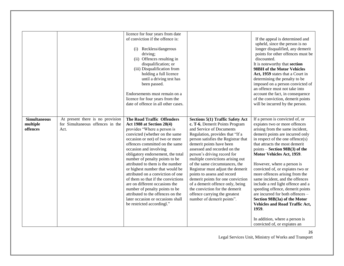|                                 |                                                                      | licence for four years from date                                                                                                                                                                                                                                                                                                                                                                                                                                                                                                                                  |                                                                                                                                                                                                                                                                                                                                                                                                                                                                                                                   |                                                                                                                                                                                                                                                                                                                                                                                                                                                                                                                                                                                                                    |
|---------------------------------|----------------------------------------------------------------------|-------------------------------------------------------------------------------------------------------------------------------------------------------------------------------------------------------------------------------------------------------------------------------------------------------------------------------------------------------------------------------------------------------------------------------------------------------------------------------------------------------------------------------------------------------------------|-------------------------------------------------------------------------------------------------------------------------------------------------------------------------------------------------------------------------------------------------------------------------------------------------------------------------------------------------------------------------------------------------------------------------------------------------------------------------------------------------------------------|--------------------------------------------------------------------------------------------------------------------------------------------------------------------------------------------------------------------------------------------------------------------------------------------------------------------------------------------------------------------------------------------------------------------------------------------------------------------------------------------------------------------------------------------------------------------------------------------------------------------|
|                                 |                                                                      | of conviction if the offence is:<br>(i) Reckless/dangerous<br>driving;<br>(ii) Offences resulting in<br>disqualification; or<br>(iii) Disqualification from<br>holding a full licence<br>until a driving test has<br>been passed.<br>Endorsements must remain on a<br>licence for four years from the<br>date of offence in all other cases.                                                                                                                                                                                                                      |                                                                                                                                                                                                                                                                                                                                                                                                                                                                                                                   | If the appeal is determined and<br>upheld, since the person is no<br>longer disqualified, any demerit<br>points for other offences must be<br>discounted.<br>It is noteworthy that section<br>98BH of the Motor Vehicles<br>Act, 1959 states that a Court in<br>determining the penalty to be<br>imposed on a person convicted of<br>an offence must not take into<br>account the fact, in consequence<br>of the conviction, demerit points<br>will be incurred by the person.                                                                                                                                     |
| <b>Simultaneous</b><br>multiple | At present there is no provision<br>for Simultaneous offences in the | <b>The Road Traffic Offenders</b><br>Act 1988 at Section 28(4)                                                                                                                                                                                                                                                                                                                                                                                                                                                                                                    | Sections 5(1) Traffic Safety Act<br>c. T-6, Demerit Points Program                                                                                                                                                                                                                                                                                                                                                                                                                                                | If a person is convicted of, or<br>expiates two or more offences                                                                                                                                                                                                                                                                                                                                                                                                                                                                                                                                                   |
| offences                        | Act.                                                                 | provides "Where a person is<br>convicted (whether on the same<br>occasion or not) of two or more<br>offences committed on the same<br>occasion and involving<br>obligatory endorsement, the total<br>number of penalty points to be<br>attributed to them is the number<br>or highest number that would be<br>attributed on a conviction of one<br>of them so that if the convictions<br>are on different occasions the<br>number of penalty points to be<br>attributed to the offences on the<br>later occasion or occasions shall<br>be restricted accordingl." | and Service of Documents<br>Regulation, provides that "If a<br>person satisfies the Registrar that<br>demerit points have been<br>assessed and recorded on the<br>person's driving record for<br>multiple convictions arising out<br>of the same circumstances, the<br>Registrar must adjust the demerit<br>points to assess and record<br>demerit points for one conviction<br>of a demerit offence only, being<br>the conviction for the demerit<br>offence carrying the greatest<br>number of demerit points". | arising from the same incident,<br>demerit points are incurred only<br>in respect of the one offence(s)<br>that attracts the most demerit<br>$points - Section 98B(3)$ of the<br>Motor Vehicles Act, 1959.<br>However, where a person is<br>convicted of, or expiates two or<br>more offences arising from the<br>same incident, and the offences<br>include a red light offence and a<br>speeding offence, demerit points<br>are incurred for both offences -<br>Section 98B(3a) of the Motor<br><b>Vehicles and Road Traffic Act,</b><br>1959.<br>In addition, where a person is<br>convicted of, or expiates an |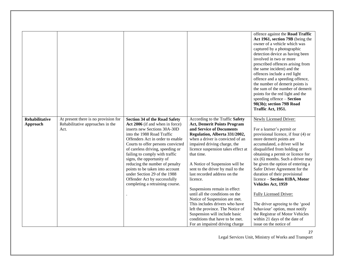| <b>Rehabilitative</b> | At present there is no provision for | <b>Section 34 of the Road Safety</b>                           | According to the Traffic Safety                                   | offence against the Road Traffic<br>Act 1961, section 79B (being the<br>owner of a vehicle which was<br>captured by a photographic<br>detection device as having been<br>involved in two or more<br>prescribed offences arising from<br>the same incident) and the<br>offences include a red light<br>offence and a speeding offence,<br>the number of demerit points is<br>the sum of the number of demerit<br>points for the red light and the<br>speeding offence - Section<br>98(3b); section 79B Road<br>Traffic Act, 1951.<br><b>Newly Licensed Driver:</b> |
|-----------------------|--------------------------------------|----------------------------------------------------------------|-------------------------------------------------------------------|-------------------------------------------------------------------------------------------------------------------------------------------------------------------------------------------------------------------------------------------------------------------------------------------------------------------------------------------------------------------------------------------------------------------------------------------------------------------------------------------------------------------------------------------------------------------|
| Approach              | Rehabilitative approaches in the     | Act 2006 (if and when in force)                                | <b>Act, Demerit Points Program</b>                                |                                                                                                                                                                                                                                                                                                                                                                                                                                                                                                                                                                   |
|                       | Act.                                 | inserts new Sections 30A-30D                                   | and Service of Documents                                          | For a learner's permit or                                                                                                                                                                                                                                                                                                                                                                                                                                                                                                                                         |
|                       |                                      | into the 1988 Road Traffic<br>Offenders Act in order to enable | Regulation, Alberta 331/2002,<br>when a driver is convicted of an | provisional licence, if four (4) or<br>more demerit points are                                                                                                                                                                                                                                                                                                                                                                                                                                                                                                    |
|                       |                                      | Courts to offer persons convicted                              | impaired driving charge, the                                      | accumulated, a driver will be                                                                                                                                                                                                                                                                                                                                                                                                                                                                                                                                     |
|                       |                                      | of careless driving, speeding or                               | licence suspension takes effect at                                | disqualified from holding or                                                                                                                                                                                                                                                                                                                                                                                                                                                                                                                                      |
|                       |                                      | failing to comply with traffic                                 | that time.                                                        | obtaining a permit or licence for                                                                                                                                                                                                                                                                                                                                                                                                                                                                                                                                 |
|                       |                                      | signs, the opportunity of                                      |                                                                   | six (6) months. Such a driver may                                                                                                                                                                                                                                                                                                                                                                                                                                                                                                                                 |
|                       |                                      | reducing the number of penalty                                 | A Notice of Suspension will be                                    | be given the option of entering a                                                                                                                                                                                                                                                                                                                                                                                                                                                                                                                                 |
|                       |                                      | points to be taken into account                                | sent to the driver by mail to the                                 | Safer Driver Agreement for the                                                                                                                                                                                                                                                                                                                                                                                                                                                                                                                                    |
|                       |                                      | under Section 29 of the 1988<br>Offender Act by successfully   | last recorded address on the<br>licence.                          | duration of their provisional<br>licence - Section 81BA, Motor                                                                                                                                                                                                                                                                                                                                                                                                                                                                                                    |
|                       |                                      | completing a retraining course.                                |                                                                   | Vehicles Act, 1959                                                                                                                                                                                                                                                                                                                                                                                                                                                                                                                                                |
|                       |                                      |                                                                | Suspensions remain in effect                                      |                                                                                                                                                                                                                                                                                                                                                                                                                                                                                                                                                                   |
|                       |                                      |                                                                | until all the conditions on the                                   | Fully Licensed Driver:                                                                                                                                                                                                                                                                                                                                                                                                                                                                                                                                            |
|                       |                                      |                                                                | Notice of Suspension are met.                                     |                                                                                                                                                                                                                                                                                                                                                                                                                                                                                                                                                                   |
|                       |                                      |                                                                | This includes drivers who have                                    | The driver agreeing to the 'good                                                                                                                                                                                                                                                                                                                                                                                                                                                                                                                                  |
|                       |                                      |                                                                | left the province. The Notice of                                  | behaviour' option, must notify                                                                                                                                                                                                                                                                                                                                                                                                                                                                                                                                    |
|                       |                                      |                                                                | Suspension will include basic                                     | the Registrar of Motor Vehicles                                                                                                                                                                                                                                                                                                                                                                                                                                                                                                                                   |
|                       |                                      |                                                                | conditions that have to be met.                                   | within 21 days of the date of                                                                                                                                                                                                                                                                                                                                                                                                                                                                                                                                     |
|                       |                                      |                                                                | For an impaired driving charge                                    | issue on the notice of                                                                                                                                                                                                                                                                                                                                                                                                                                                                                                                                            |

27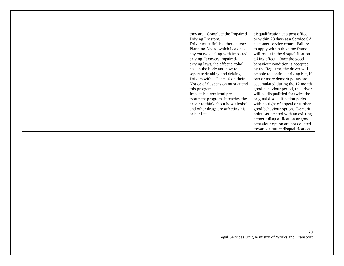|  | they are: Complete the Impaired   | disqualification at a post office,  |
|--|-----------------------------------|-------------------------------------|
|  |                                   |                                     |
|  | Driving Program.                  | or within 28 days at a Service SA   |
|  | Driver must finish either course: | customer service centre. Failure    |
|  | Planning Ahead which is a one-    | to apply within this time frame     |
|  | day course dealing with impaired  | will result in the disqualification |
|  | driving. It covers impaired-      | taking effect. Once the good        |
|  | driving laws, the effect alcohol  | behaviour condition is accepted     |
|  | has on the body and how to        | by the Registrar, the driver will   |
|  | separate drinking and driving.    | be able to continue driving but, if |
|  | Drivers with a Code 10 on their   | two or more demerit points are      |
|  | Notice of Suspension must attend  | accumulated during the 12 month     |
|  | this program.                     | good behaviour period, the driver   |
|  | Impact is a weekend pre-          | will be disqualified for twice the  |
|  | treatment program. It teaches the | original disqualification period    |
|  | driver to think about how alcohol | with no right of appeal or further  |
|  | and other drugs are affecting his | good behaviour option. Demerit      |
|  | or her life                       | points associated with an existing  |
|  |                                   | demerit disqualification or good    |
|  |                                   | behaviour option are not counted    |
|  |                                   | towards a future disqualification.  |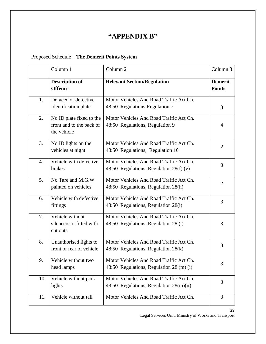### **"APPENDIX B"**

#### <span id="page-29-0"></span>Proposed Schedule – **The Demerit Points System**

|     | Column 1                                                            | Column <sub>2</sub>                                                                 | Column 3                        |
|-----|---------------------------------------------------------------------|-------------------------------------------------------------------------------------|---------------------------------|
|     | <b>Description of</b><br><b>Offence</b>                             | <b>Relevant Section/Regulation</b>                                                  | <b>Demerit</b><br><b>Points</b> |
| 1.  | Defaced or defective<br>Identification plate                        | Motor Vehicles And Road Traffic Act Ch.<br>48:50 Regulations Regulation 7           | 3                               |
| 2.  | No ID plate fixed to the<br>front and to the back of<br>the vehicle | Motor Vehicles And Road Traffic Act Ch.<br>48:50 Regulations, Regulation 9          | $\overline{4}$                  |
| 3.  | No ID lights on the<br>vehicles at night                            | Motor Vehicles And Road Traffic Act Ch.<br>48:50 Regulations, Regulation 10         | $\overline{2}$                  |
| 4.  | Vehicle with defective<br>brakes                                    | Motor Vehicles And Road Traffic Act Ch.<br>48:50 Regulations, Regulation $28(f)(v)$ | 3                               |
| 5.  | No Tare and M.G.W<br>painted on vehicles                            | Motor Vehicles And Road Traffic Act Ch.<br>48:50 Regulations, Regulation 28(h)      | $\overline{2}$                  |
| 6.  | Vehicle with defective<br>fittings                                  | Motor Vehicles And Road Traffic Act Ch.<br>48:50 Regulations, Regulation 28(i)      | 3                               |
| 7.  | Vehicle without<br>silencers or fitted with<br>cut outs             | Motor Vehicles And Road Traffic Act Ch.<br>48:50 Regulations, Regulation 28 (j)     | 3                               |
| 8.  | Unauthorised lights to<br>front or rear of vehicle                  | Motor Vehicles And Road Traffic Act Ch.<br>48:50 Regulations, Regulation 28(k)      | 3                               |
| 9.  | Vehicle without two<br>head lamps                                   | Motor Vehicles And Road Traffic Act Ch.<br>48:50 Regulations, Regulation 28 (m) (i) | 3                               |
| 10. | Vehicle without park<br>lights                                      | Motor Vehicles And Road Traffic Act Ch.<br>48:50 Regulations, Regulation 28(m)(ii)  | 3                               |
| 11. | Vehicle without tail                                                | Motor Vehicles And Road Traffic Act Ch.                                             | 3                               |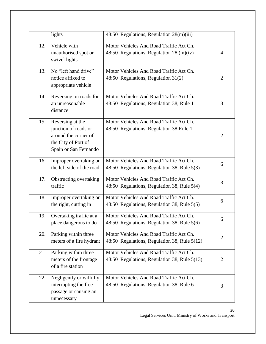|     | lights                                                                                                           | 48:50 Regulations, Regulation 28(m)(iii)                                                |                |
|-----|------------------------------------------------------------------------------------------------------------------|-----------------------------------------------------------------------------------------|----------------|
| 12. | Vehicle with<br>unauthorised spot or<br>swivel lights                                                            | Motor Vehicles And Road Traffic Act Ch.<br>48:50 Regulations, Regulation 28 (m)(iv)     | 4              |
| 13. | $\overline{No}$ "left hand drive"<br>notice affixed to<br>appropriate vehicle                                    | Motor Vehicles And Road Traffic Act Ch.<br>48:50 Regulations, Regulation 31(2)          | $\overline{2}$ |
| 14. | Reversing on roads for<br>an unreasonable<br>distance                                                            | Motor Vehicles And Road Traffic Act Ch.<br>48:50 Regulations, Regulation 38, Rule 1     | 3              |
| 15. | Reversing at the<br>junction of roads or<br>around the corner of<br>the City of Port of<br>Spain or San Fernando | Motor Vehicles And Road Traffic Act Ch.<br>48:50 Regulations, Regulation 38 Rule 1      | $\overline{2}$ |
| 16. | Improper overtaking on<br>the left side of the road                                                              | Motor Vehicles And Road Traffic Act Ch.<br>48:50 Regulations, Regulation 38, Rule 5(3)  | 6              |
| 17. | Obstructing overtaking<br>traffic                                                                                | Motor Vehicles And Road Traffic Act Ch.<br>48:50 Regulations, Regulation 38, Rule 5(4)  | 3              |
| 18. | Improper overtaking on<br>the right, cutting in                                                                  | Motor Vehicles And Road Traffic Act Ch.<br>48:50 Regulations, Regulation 38, Rule 5(5)  | 6              |
| 19. | Overtaking traffic at a<br>place dangerous to do                                                                 | Motor Vehicles And Road Traffic Act Ch.<br>48:50 Regulations, Regulation 38, Rule 5(6)  | 6              |
| 20. | Parking within three<br>meters of a fire hydrant                                                                 | Motor Vehicles And Road Traffic Act Ch.<br>48:50 Regulations, Regulation 38, Rule 5(12) | $\overline{2}$ |
| 21. | Parking within three<br>meters of the frontage<br>of a fire station                                              | Motor Vehicles And Road Traffic Act Ch.<br>48:50 Regulations, Regulation 38, Rule 5(13) | $\overline{2}$ |
| 22. | Negligently or wilfully<br>interrupting the free<br>passage or causing an<br>unnecessary                         | Motor Vehicles And Road Traffic Act Ch.<br>48:50 Regulations, Regulation 38, Rule 6     | 3              |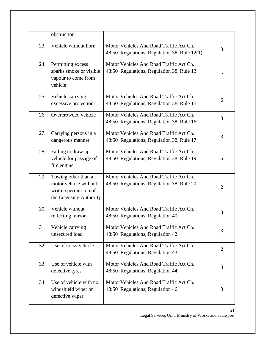|     | obstruction                                                                                      |                                                                                         |                |
|-----|--------------------------------------------------------------------------------------------------|-----------------------------------------------------------------------------------------|----------------|
| 23. | Vehicle without horn                                                                             | Motor Vehicles And Road Traffic Act Ch.<br>48:50 Regulations, Regulation 38, Rule 12(1) | 3              |
| 24. | Permitting excess<br>sparks smoke or visible<br>vapour to come from<br>vehicle                   | Motor Vehicles And Road Traffic Act Ch.<br>48:50 Regulations, Regulation 38, Rule 13    | $\overline{2}$ |
| 25. | Vehicle carrying<br>excessive projection                                                         | Motor Vehicles And Road Traffic Act Ch.<br>48:50 Regulations, Regulation 38, Rule 15    | 6              |
| 26. | Overcrowded vehicle                                                                              | Motor Vehicles And Road Traffic Act Ch.<br>48:50 Regulations, Regulation 38, Rule 16    | 3              |
| 27. | Carrying persons in a<br>dangerous manner                                                        | Motor Vehicles And Road Traffic Act Ch.<br>48:50 Regulations, Regulation 38, Rule 17    | 3              |
| 28. | Failing to draw up<br>vehicle for passage of<br>fire engine                                      | Motor Vehicles And Road Traffic Act Ch.<br>48:50 Regulations, Regulation 38, Rule 19    | 6              |
| 29. | Towing other than a<br>motor vehicle without<br>written permission of<br>the Licensing Authority | Motor Vehicles And Road Traffic Act Ch.<br>48:50 Regulations, Regulation 38, Rule 20    | 2              |
| 30. | Vehicle without<br>reflecting mirror                                                             | Motor Vehicles And Road Traffic Act Ch.<br>48:50 Regulations, Regulation 40             | 3              |
| 31. | Vehicle carrying<br>unsecured load                                                               | Motor Vehicles And Road Traffic Act Ch.<br>48:50 Regulations, Regulation 42             | 3              |
| 32. | Use of noisy vehicle                                                                             | Motor Vehicles And Road Traffic Act Ch.<br>48:50 Regulations, Regulation 43             | $\overline{2}$ |
| 33. | Use of vehicle with<br>defective tyres                                                           | Motor Vehicles And Road Traffic Act Ch.<br>48:50 Regulations, Regulation 44             | 3              |
| 34. | Use of vehicle with no<br>windshield wiper or<br>defective wiper                                 | Motor Vehicles And Road Traffic Act Ch.<br>48:50 Regulations, Regulation 46             | 3              |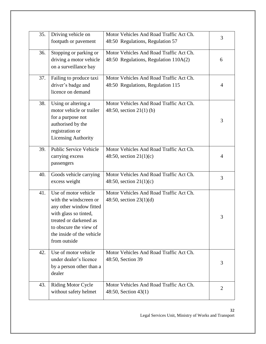| 35. | Driving vehicle on<br>footpath or pavement                                                                                                                                                          | Motor Vehicles And Road Traffic Act Ch.<br>48:50 Regulations, Regulation 57      | 3              |
|-----|-----------------------------------------------------------------------------------------------------------------------------------------------------------------------------------------------------|----------------------------------------------------------------------------------|----------------|
| 36. | Stopping or parking or<br>driving a motor vehicle<br>on a surveillance bay                                                                                                                          | Motor Vehicles And Road Traffic Act Ch.<br>48:50 Regulations, Regulation 110A(2) | 6              |
| 37. | Failing to produce taxi<br>driver's badge and<br>licence on demand                                                                                                                                  | Motor Vehicles And Road Traffic Act Ch.<br>48:50 Regulations, Regulation 115     | $\overline{4}$ |
| 38. | Using or altering a<br>motor vehicle or trailer<br>for a purpose not<br>authorised by the<br>registration or<br><b>Licensing Authority</b>                                                          | Motor Vehicles And Road Traffic Act Ch.<br>48:50, section $21(1)$ (b)            | 3              |
| 39. | <b>Public Service Vehicle</b><br>carrying excess<br>passengers                                                                                                                                      | Motor Vehicles And Road Traffic Act Ch.<br>48:50, section $21(1)(c)$             | $\overline{4}$ |
| 40. | Goods vehicle carrying<br>excess weight                                                                                                                                                             | Motor Vehicles And Road Traffic Act Ch.<br>48:50, section $21(1)(c)$             | 3              |
| 41. | Use of motor vehicle<br>with the windscreen or<br>any other window fitted<br>with glass so tinted,<br>treated or darkened as<br>to obscure the view of<br>the inside of the vehicle<br>from outside | Motor Vehicles And Road Traffic Act Ch.<br>48:50, section $23(1)(d)$             | 3              |
| 42. | Use of motor vehicle<br>under dealer's licence<br>by a person other than a<br>dealer                                                                                                                | Motor Vehicles And Road Traffic Act Ch.<br>48:50, Section 39                     | 3              |
| 43. | <b>Riding Motor Cycle</b><br>without safety helmet                                                                                                                                                  | Motor Vehicles And Road Traffic Act Ch.<br>48:50, Section 43(1)                  | $\overline{2}$ |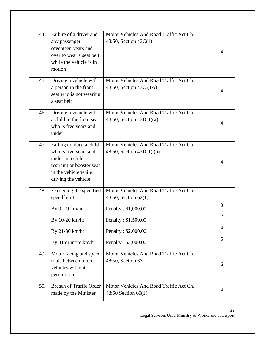| 44. | Failure of a driver and<br>any passenger<br>seventeen years and<br>over to wear a seat belt<br>while the vehicle is in<br>motion                  | Motor Vehicles And Road Traffic Act Ch.<br>48:50, Section $43C(1)$                                                                     | 4                               |
|-----|---------------------------------------------------------------------------------------------------------------------------------------------------|----------------------------------------------------------------------------------------------------------------------------------------|---------------------------------|
| 45. | Driving a vehicle with<br>a person in the front<br>seat who is not wearing<br>a seat belt                                                         | Motor Vehicles And Road Traffic Act Ch.<br>48:50, Section 43C (1A)                                                                     | 4                               |
| 46. | Driving a vehicle with<br>a child in the front seat<br>who is five years and<br>under                                                             | Motor Vehicles And Road Traffic Act Ch.<br>48:50, Section $43D(1)(a)$                                                                  | 4                               |
| 47. | Failing to place a child<br>who is five years and<br>under in a child<br>restraint or booster seat<br>in the vehicle while<br>driving the vehicle | Motor Vehicles And Road Traffic Act Ch.<br>48:50, Section $43D(1)$ (b)                                                                 | 4                               |
| 48. | Exceeding the specified<br>speed limit<br>By $0 - 9$ km/hr<br>By 10-20 km/hr<br>By 21-30 km/hr                                                    | Motor Vehicles And Road Traffic Act Ch.<br>48:50, Section $62(1)$<br>Penalty: \$1,000.00<br>Penalty: \$1,500.00<br>Penalty: \$2,000.00 | $\theta$<br>$\overline{2}$<br>4 |
| 49. | By 31 or more km/hr<br>Motor racing and speed<br>trials between motor<br>vehicles without<br>permission                                           | Penalty: \$3,000.00<br>Motor Vehicles And Road Traffic Act Ch.<br>48:50, Section 63                                                    | 6<br>6                          |
| 50. | <b>Breach of Traffic Order</b><br>made by the Minister                                                                                            | Motor Vehicles And Road Traffic Act Ch.<br>48:50 Section 65(1)                                                                         | 4                               |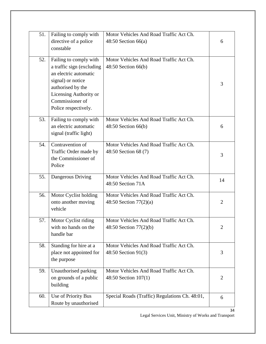| 51. | Failing to comply with<br>directive of a police<br>constable                                                                                                                                | Motor Vehicles And Road Traffic Act Ch.<br>48:50 Section $66(a)$    | 6              |
|-----|---------------------------------------------------------------------------------------------------------------------------------------------------------------------------------------------|---------------------------------------------------------------------|----------------|
| 52. | Failing to comply with<br>a traffic sign (excluding<br>an electric automatic<br>signal) or notice<br>authorised by the<br>Licensing Authority or<br>Commissioner of<br>Police respectively. | Motor Vehicles And Road Traffic Act Ch.<br>48:50 Section 66(b)      | 3              |
| 53. | Failing to comply with<br>an electric automatic<br>signal (traffic light)                                                                                                                   | Motor Vehicles And Road Traffic Act Ch.<br>$48:50$ Section $66(b)$  | 6              |
| 54. | Contravention of<br>Traffic Order made by<br>the Commissioner of<br>Police                                                                                                                  | Motor Vehicles And Road Traffic Act Ch.<br>48:50 Section 68 (7)     | 3              |
| 55. | Dangerous Driving                                                                                                                                                                           | Motor Vehicles And Road Traffic Act Ch.<br>48:50 Section 71A        | 14             |
| 56. | Motor Cyclist holding<br>onto another moving<br>vehicle                                                                                                                                     | Motor Vehicles And Road Traffic Act Ch.<br>48:50 Section $77(2)(a)$ | $\overline{2}$ |
| 57. | Motor Cyclist riding<br>with no hands on the<br>handle bar                                                                                                                                  | Motor Vehicles And Road Traffic Act Ch.<br>48:50 Section 77(2)(b)   | $\overline{2}$ |
| 58. | Standing for hire at a<br>place not appointed for<br>the purpose                                                                                                                            | Motor Vehicles And Road Traffic Act Ch.<br>48:50 Section 91(3)      | 3              |
| 59. | Unauthorised parking<br>on grounds of a public<br>building                                                                                                                                  | Motor Vehicles And Road Traffic Act Ch.<br>48:50 Section 107(1)     | $\overline{2}$ |
| 60. | Use of Priority Bus<br>Route by unauthorised                                                                                                                                                | Special Roads (Traffic) Regulations Ch. 48:01,                      | 6              |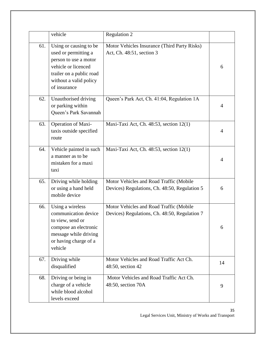|     | vehicle                                                                                                                                                              | Regulation 2                                                                             |    |
|-----|----------------------------------------------------------------------------------------------------------------------------------------------------------------------|------------------------------------------------------------------------------------------|----|
| 61. | Using or causing to be<br>used or permitting a<br>person to use a motor<br>vehicle or licenced<br>trailer on a public road<br>without a valid policy<br>of insurance | Motor Vehicles Insurance (Third Party Risks)<br>Act, Ch. 48:51, section 3                | 6  |
| 62. | Unauthorised driving<br>or parking within<br>Queen's Park Savannah                                                                                                   | Queen's Park Act, Ch. 41:04, Regulation 1A                                               | 4  |
| 63. | Operation of Maxi-<br>taxis outside specified<br>route                                                                                                               | Maxi-Taxi Act, Ch. 48:53, section 12(1)                                                  | 4  |
| 64. | Vehicle painted in such<br>a manner as to be<br>mistaken for a maxi<br>taxi                                                                                          | Maxi-Taxi Act, Ch. 48:53, section 12(1)                                                  | 4  |
| 65. | Driving while holding<br>or using a hand held<br>mobile device                                                                                                       | Motor Vehicles and Road Traffic (Mobile<br>Devices) Regulations, Ch. 48:50, Regulation 5 | 6  |
| 66. | Using a wireless<br>communication device<br>to view, send or<br>compose an electronic<br>message while driving<br>or having charge of a<br>vehicle                   | Motor Vehicles and Road Traffic (Mobile<br>Devices) Regulations, Ch. 48:50, Regulation 7 | 6  |
| 67. | Driving while<br>disqualified                                                                                                                                        | Motor Vehicles and Road Traffic Act Ch.<br>48:50, section 42                             | 14 |
| 68. | Driving or being in<br>charge of a vehicle<br>while blood alcohol<br>levels exceed                                                                                   | Motor Vehicles and Road Traffic Act Ch.<br>48:50, section 70A                            | 9  |